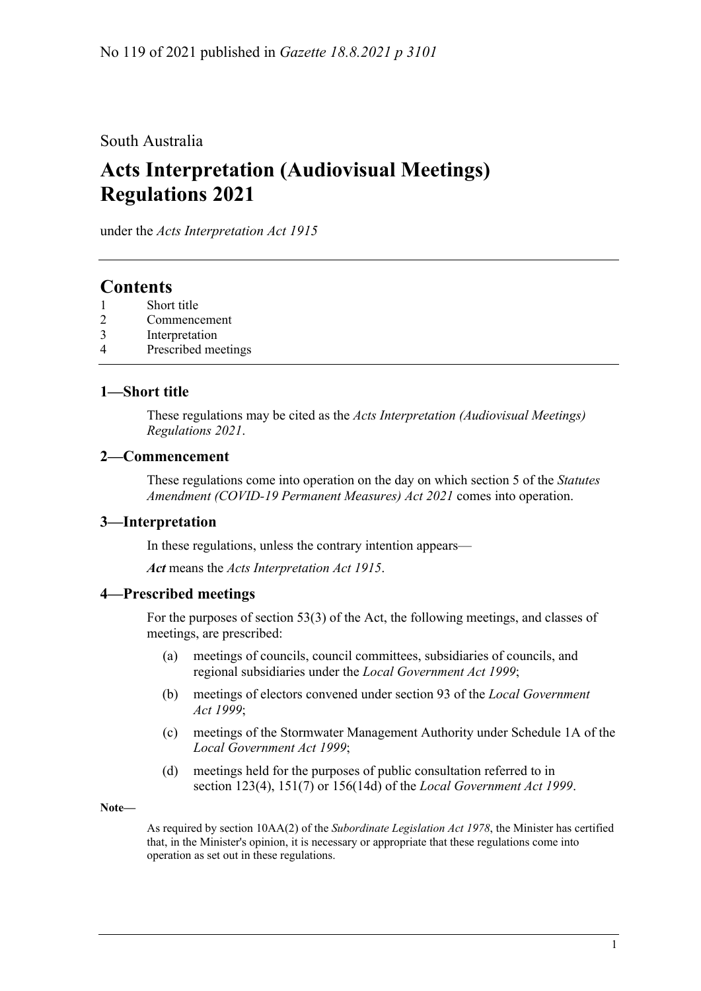#### South Australia

# **Acts Interpretation (Audiovisual Meetings) Regulations 2021**

under the *Acts Interpretation Act 1915*

### **Contents**

- 1 [Short title](#page-0-0)
- 2 [Commencement](#page-0-1)
- 3 [Interpretation](#page-0-2)
- 4 [Prescribed meetings](#page-0-3)

#### <span id="page-0-0"></span>**1—Short title**

These regulations may be cited as the *Acts Interpretation (Audiovisual Meetings) Regulations 2021*.

#### <span id="page-0-1"></span>**2—Commencement**

These regulations come into operation on the day on which section 5 of the *[Statutes](http://www.legislation.sa.gov.au/index.aspx?action=legref&type=act&legtitle=Statutes%20Amendment%20(COVID-19%20Permanent%20Measures)%20Act%202021)  [Amendment \(COVID-19 Permanent Measures\) Act](http://www.legislation.sa.gov.au/index.aspx?action=legref&type=act&legtitle=Statutes%20Amendment%20(COVID-19%20Permanent%20Measures)%20Act%202021) 2021* comes into operation.

#### <span id="page-0-2"></span>**3—Interpretation**

In these regulations, unless the contrary intention appears—

*Act* means the *[Acts Interpretation Act](http://www.legislation.sa.gov.au/index.aspx?action=legref&type=act&legtitle=Acts%20Interpretation%20Act%201915) 1915*.

#### <span id="page-0-3"></span>**4—Prescribed meetings**

For the purposes of section 53(3) of the Act, the following meetings, and classes of meetings, are prescribed:

- (a) meetings of councils, council committees, subsidiaries of councils, and regional subsidiaries under the *[Local Government Act](http://www.legislation.sa.gov.au/index.aspx?action=legref&type=act&legtitle=Local%20Government%20Act%201999) 1999*;
- (b) meetings of electors convened under section 93 of the *[Local Government](http://www.legislation.sa.gov.au/index.aspx?action=legref&type=act&legtitle=Local%20Government%20Act%201999)  Act [1999](http://www.legislation.sa.gov.au/index.aspx?action=legref&type=act&legtitle=Local%20Government%20Act%201999)*;
- (c) meetings of the Stormwater Management Authority under Schedule 1A of the *[Local Government Act](http://www.legislation.sa.gov.au/index.aspx?action=legref&type=act&legtitle=Local%20Government%20Act%201999) 1999*;
- (d) meetings held for the purposes of public consultation referred to in section 123(4), 151(7) or 156(14d) of the *[Local Government Act](http://www.legislation.sa.gov.au/index.aspx?action=legref&type=act&legtitle=Local%20Government%20Act%201999) 1999*.

**Note—**

As required by section 10AA(2) of the *[Subordinate Legislation Act](http://www.legislation.sa.gov.au/index.aspx?action=legref&type=act&legtitle=Subordinate%20Legislation%20Act%201978) 1978*, the Minister has certified that, in the Minister's opinion, it is necessary or appropriate that these regulations come into operation as set out in these regulations.